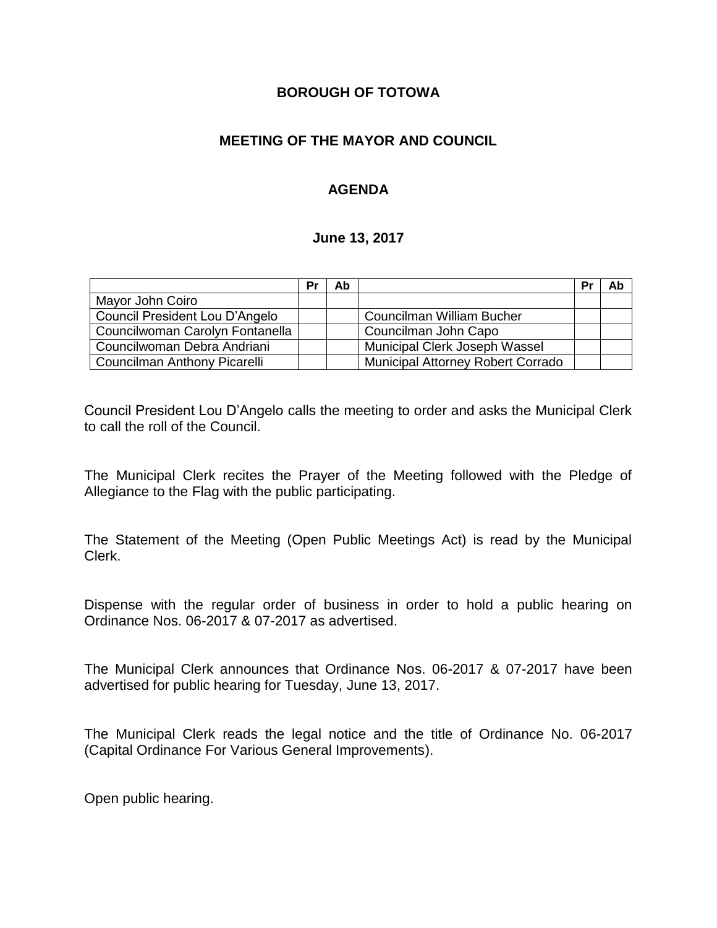### **BOROUGH OF TOTOWA**

### **MEETING OF THE MAYOR AND COUNCIL**

### **AGENDA**

#### **June 13, 2017**

|                                 | Pr | Ab |                                          | Pr | Ab |
|---------------------------------|----|----|------------------------------------------|----|----|
| Mayor John Coiro                |    |    |                                          |    |    |
| Council President Lou D'Angelo  |    |    | Councilman William Bucher                |    |    |
| Councilwoman Carolyn Fontanella |    |    | Councilman John Capo                     |    |    |
| Councilwoman Debra Andriani     |    |    | Municipal Clerk Joseph Wassel            |    |    |
| Councilman Anthony Picarelli    |    |    | <b>Municipal Attorney Robert Corrado</b> |    |    |

Council President Lou D'Angelo calls the meeting to order and asks the Municipal Clerk to call the roll of the Council.

The Municipal Clerk recites the Prayer of the Meeting followed with the Pledge of Allegiance to the Flag with the public participating.

The Statement of the Meeting (Open Public Meetings Act) is read by the Municipal Clerk.

Dispense with the regular order of business in order to hold a public hearing on Ordinance Nos. 06-2017 & 07-2017 as advertised.

The Municipal Clerk announces that Ordinance Nos. 06-2017 & 07-2017 have been advertised for public hearing for Tuesday, June 13, 2017.

The Municipal Clerk reads the legal notice and the title of Ordinance No. 06-2017 (Capital Ordinance For Various General Improvements).

Open public hearing.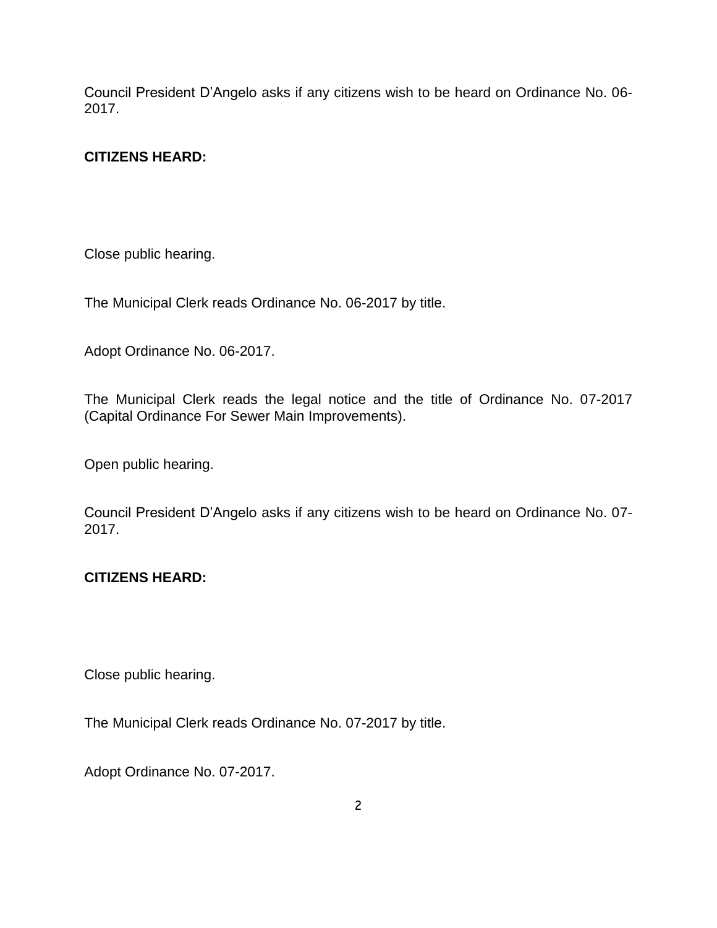Council President D'Angelo asks if any citizens wish to be heard on Ordinance No. 06- 2017.

# **CITIZENS HEARD:**

Close public hearing.

The Municipal Clerk reads Ordinance No. 06-2017 by title.

Adopt Ordinance No. 06-2017.

The Municipal Clerk reads the legal notice and the title of Ordinance No. 07-2017 (Capital Ordinance For Sewer Main Improvements).

Open public hearing.

Council President D'Angelo asks if any citizens wish to be heard on Ordinance No. 07- 2017.

#### **CITIZENS HEARD:**

Close public hearing.

The Municipal Clerk reads Ordinance No. 07-2017 by title.

Adopt Ordinance No. 07-2017.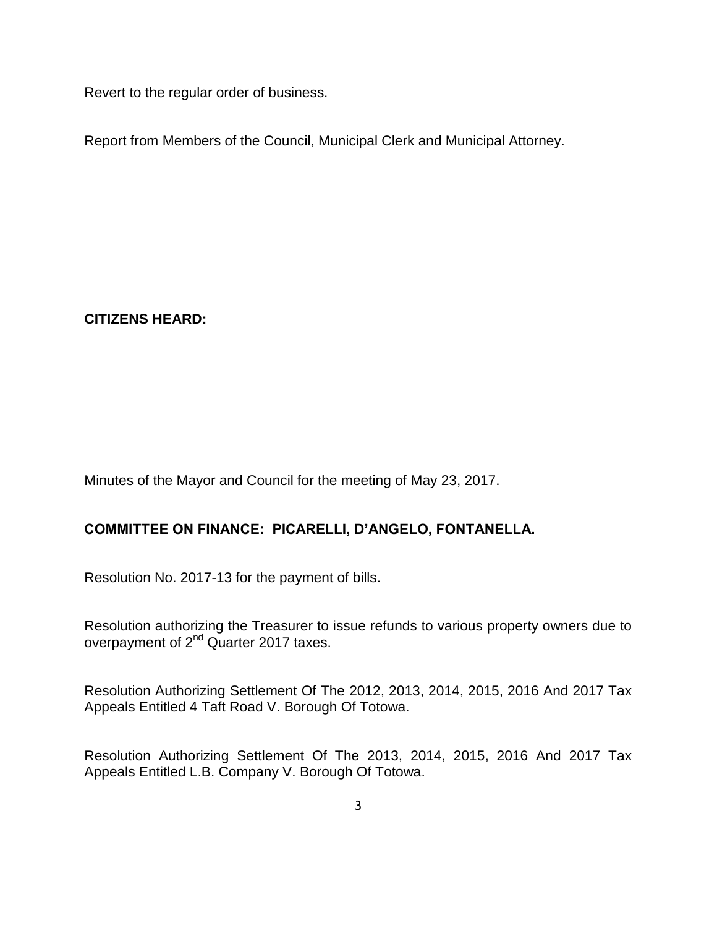Revert to the regular order of business.

Report from Members of the Council, Municipal Clerk and Municipal Attorney.

**CITIZENS HEARD:**

Minutes of the Mayor and Council for the meeting of May 23, 2017.

# **COMMITTEE ON FINANCE: PICARELLI, D'ANGELO, FONTANELLA.**

Resolution No. 2017-13 for the payment of bills.

Resolution authorizing the Treasurer to issue refunds to various property owners due to overpayment of 2<sup>nd</sup> Quarter 2017 taxes.

Resolution Authorizing Settlement Of The 2012, 2013, 2014, 2015, 2016 And 2017 Tax Appeals Entitled 4 Taft Road V. Borough Of Totowa.

Resolution Authorizing Settlement Of The 2013, 2014, 2015, 2016 And 2017 Tax Appeals Entitled L.B. Company V. Borough Of Totowa.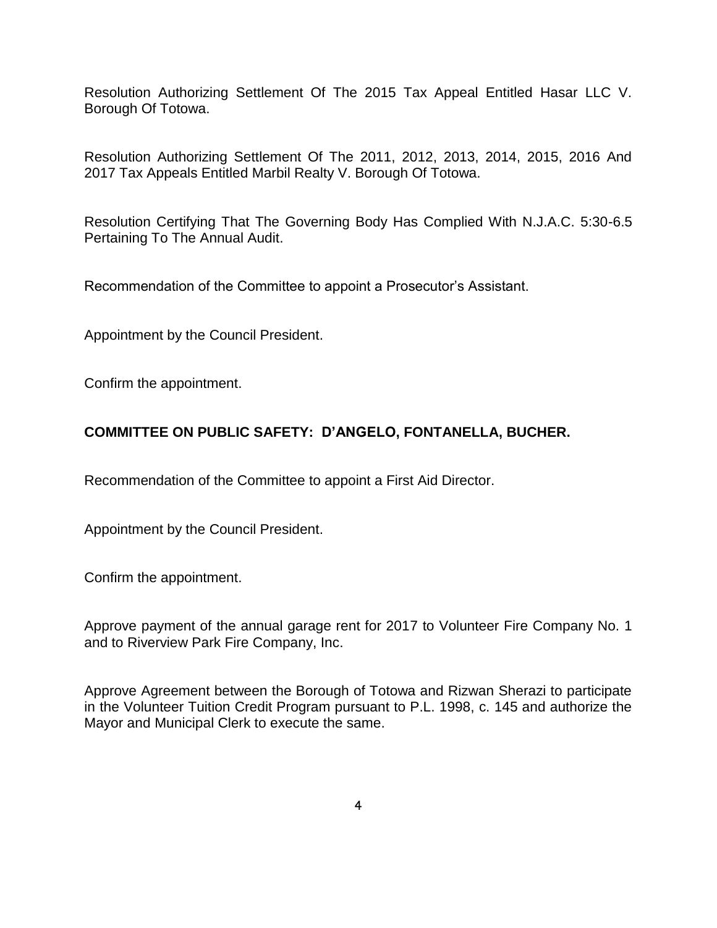Resolution Authorizing Settlement Of The 2015 Tax Appeal Entitled Hasar LLC V. Borough Of Totowa.

Resolution Authorizing Settlement Of The 2011, 2012, 2013, 2014, 2015, 2016 And 2017 Tax Appeals Entitled Marbil Realty V. Borough Of Totowa.

Resolution Certifying That The Governing Body Has Complied With N.J.A.C. 5:30-6.5 Pertaining To The Annual Audit.

Recommendation of the Committee to appoint a Prosecutor's Assistant.

Appointment by the Council President.

Confirm the appointment.

# **COMMITTEE ON PUBLIC SAFETY: D'ANGELO, FONTANELLA, BUCHER.**

Recommendation of the Committee to appoint a First Aid Director.

Appointment by the Council President.

Confirm the appointment.

Approve payment of the annual garage rent for 2017 to Volunteer Fire Company No. 1 and to Riverview Park Fire Company, Inc.

Approve Agreement between the Borough of Totowa and Rizwan Sherazi to participate in the Volunteer Tuition Credit Program pursuant to P.L. 1998, c. 145 and authorize the Mayor and Municipal Clerk to execute the same.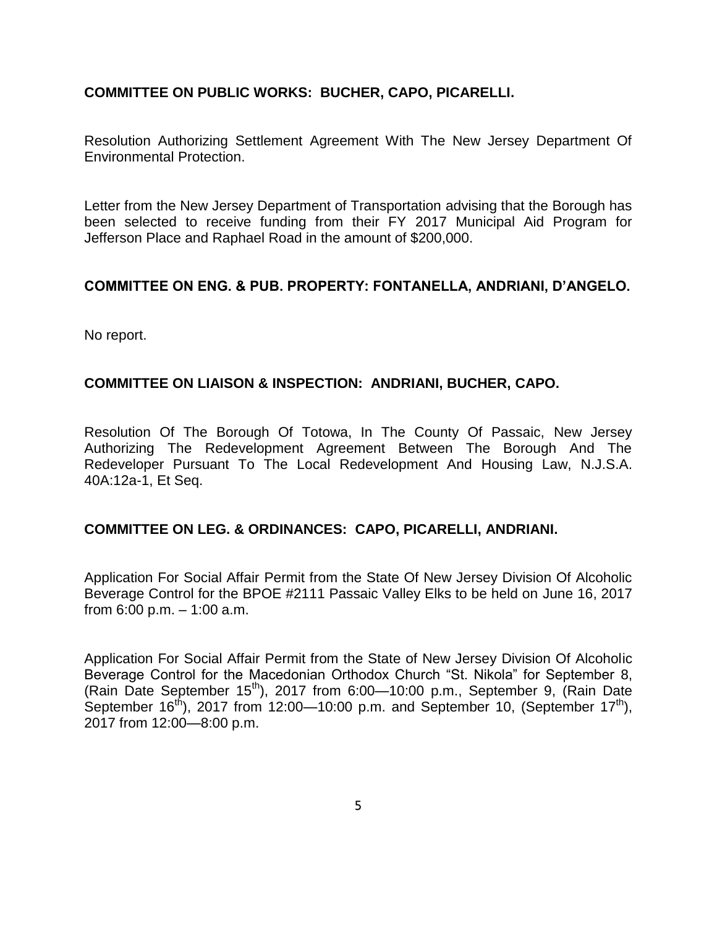### **COMMITTEE ON PUBLIC WORKS: BUCHER, CAPO, PICARELLI.**

Resolution Authorizing Settlement Agreement With The New Jersey Department Of Environmental Protection.

Letter from the New Jersey Department of Transportation advising that the Borough has been selected to receive funding from their FY 2017 Municipal Aid Program for Jefferson Place and Raphael Road in the amount of \$200,000.

#### **COMMITTEE ON ENG. & PUB. PROPERTY: FONTANELLA, ANDRIANI, D'ANGELO.**

No report.

#### **COMMITTEE ON LIAISON & INSPECTION: ANDRIANI, BUCHER, CAPO.**

Resolution Of The Borough Of Totowa, In The County Of Passaic, New Jersey Authorizing The Redevelopment Agreement Between The Borough And The Redeveloper Pursuant To The Local Redevelopment And Housing Law, N.J.S.A. 40A:12a-1, Et Seq.

#### **COMMITTEE ON LEG. & ORDINANCES: CAPO, PICARELLI, ANDRIANI.**

Application For Social Affair Permit from the State Of New Jersey Division Of Alcoholic Beverage Control for the BPOE #2111 Passaic Valley Elks to be held on June 16, 2017 from 6:00 p.m. – 1:00 a.m.

Application For Social Affair Permit from the State of New Jersey Division Of Alcoholic Beverage Control for the Macedonian Orthodox Church "St. Nikola" for September 8, (Rain Date September 15<sup>th</sup>), 2017 from 6:00-10:00 p.m., September 9, (Rain Date September 16<sup>th</sup>), 2017 from 12:00—10:00 p.m. and September 10, (September 17<sup>th</sup>), 2017 from 12:00—8:00 p.m.